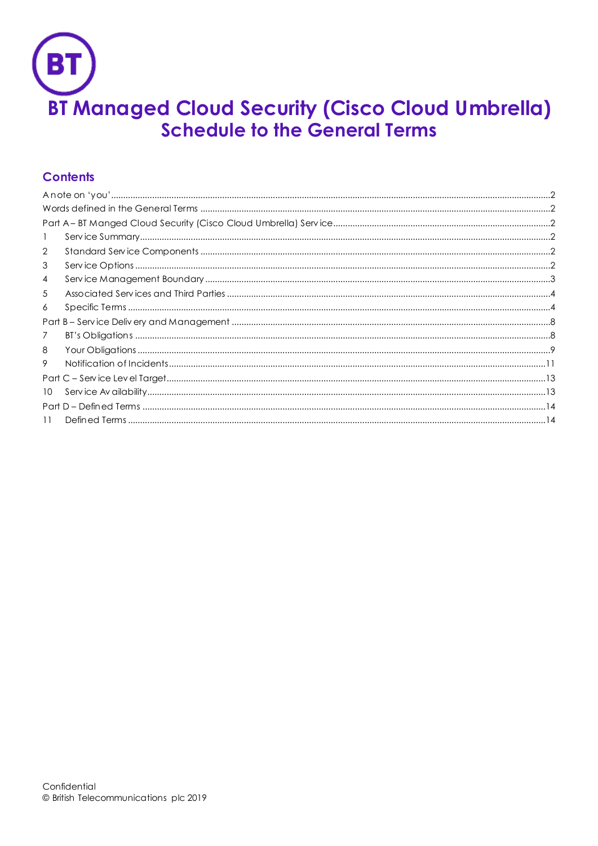

# **Contents**

| -1             |  |
|----------------|--|
| 2              |  |
| 3              |  |
| $\overline{4}$ |  |
| 5              |  |
| 6              |  |
|                |  |
| 7              |  |
| 8              |  |
| 9              |  |
|                |  |
| 10             |  |
|                |  |
| 11             |  |
|                |  |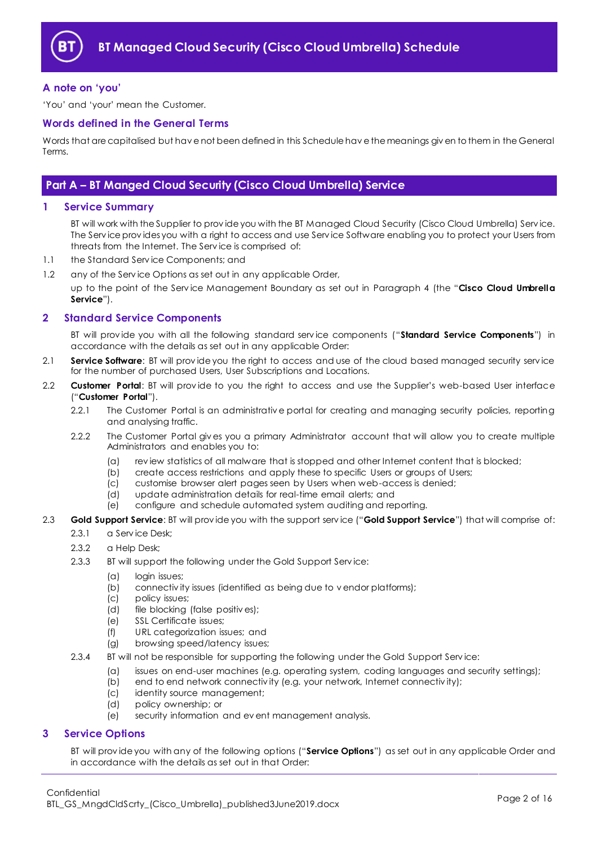

## <span id="page-1-0"></span>**A note on 'you'**

'You' and 'your' mean the Customer.

## <span id="page-1-1"></span>**Words defined in the General Terms**

Words that are capitalised but hav e not been defined in this Schedule hav e the meanings giv en to them in the General Terms.

## <span id="page-1-2"></span>**Part A – BT Manged Cloud Security (Cisco Cloud Umbrella) Service**

## <span id="page-1-3"></span>**1 Service Summary**

BT will work with the Supplier to prov ide you with the BT Managed Cloud Security (Cisco Cloud Umbrella) Serv ice. The Serv ice prov ides you with a right to access and use Serv ice Software enabling you to protect your Users from threats from the Internet. The Serv ice is comprised of:

- 1.1 the Standard Serv ice Components; and
- 1.2 any of the Serv ice Options as set out in any applicable Order,

up to the point of the Serv ice Management Boundary as set out in Paragraph [4](#page-2-0) (the "**Cisco Cloud Umbrella Service**").

## <span id="page-1-4"></span>**2 Standard Service Components**

BT will prov ide you with all the following standard serv ice components ("**Standard Service Components**") in accordance with the details as set out in any applicable Order:

- 2.1 **Service Software**: BT will prov ide you the right to access and use of the cloud based managed security serv ice for the number of purchased Users, User Subscriptions and Locations.
- <span id="page-1-6"></span>2.2 **Customer Portal**: BT will prov ide to you the right to access and use the Supplier's web-based User interface ("**Customer Portal**").
	- 2.2.1 The Customer Portal is an administrativ e portal for creating and managing security policies, reporting and analysing traffic.
	- 2.2.2 The Customer Portal giv es you a primary Administrator account that will allow you to create multiple Administrators and enables you to:
		- (a) rev iew statistics of all malware that is stopped and other Internet content that is blocked;
		- (b) create access restrictions and apply these to specific Users or groups of Users;
		- (c) customise browser alert pages seen by Users when web-access is denied;
		- (d) update administration details for real-time email alerts; and
		- (e) configure and schedule automated system auditing and reporting.
- <span id="page-1-7"></span>2.3 **Gold Support Service**: BT will prov ide you with the support serv ice ("**Gold Support Service**") that will comprise of:
	- 2.3.1 a Service Desk:
	- 2.3.2 a Help Desk;
	- 2.3.3 BT will support the following under the Gold Support Service:
		- (a) login issues;
		- (b) connectiv ity issues (identified as being due to v endor platforms);
		- (c) policy issues;
		- (d) file blocking (false positiv es);
		- (e) SSL Certificate issues;
		- (f) URL categorization issues; and
		- (g) browsing speed/latency issues;
	- 2.3.4 BT will not be responsible for supporting the following under the Gold Support Service:
		- (a) issues on end-user machines (e.g. operating system, coding languages and security settings);
		- (b) end to end network connectivity (e.g. your network, Internet connectivity);
		- (c) identity source management;
		- (d) policy ownership; or
		- (e) security information and ev ent management analysis.

## <span id="page-1-5"></span>**3 Service Options**

BT will prov ide you with any of the following options ("**Service Options**") as set out in any applicable Order and in accordance with the details as set out in that Order: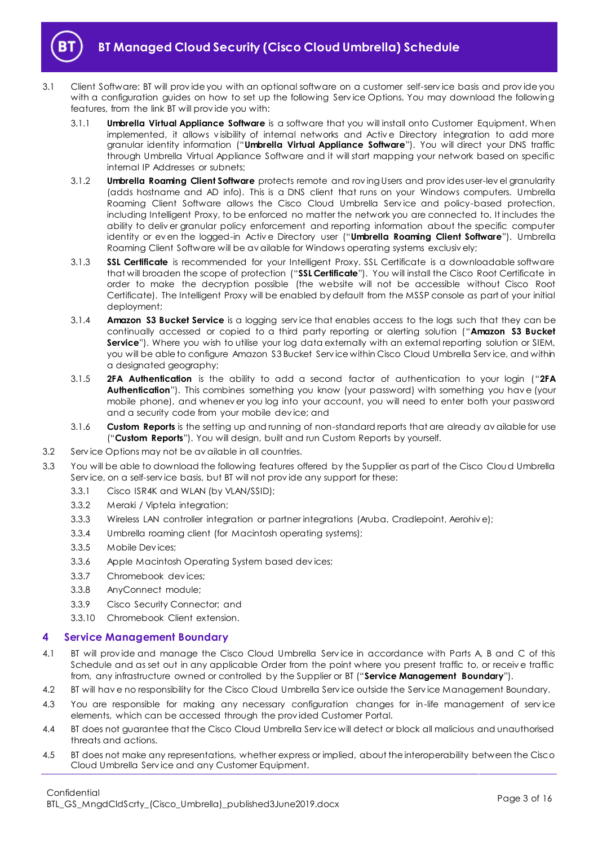

- <span id="page-2-8"></span><span id="page-2-7"></span><span id="page-2-6"></span><span id="page-2-1"></span>3.1 Client Software: BT will prov ide you with an optional software on a customer self-serv ice basis and prov ide you with a configuration guides on how to set up the following Serv ice Options. You may download the following features, from the link BT will prov ide you with:
	- 3.1.1 **Umbrella Virtual Appliance Software** is a software that you will install onto Customer Equipment. When implemented, it allows visibility of internal networks and Active Directory integration to add more granular identity information ("**Umbrella Virtual Appliance Software**"). You will direct your DNS traffic through Umbrella Virtual Appliance Software and it will start mapping your network based on specific internal IP Addresses or subnets;
	- 3.1.2 **Umbrella Roaming Client Software** protects remote and rov ing Users and prov ides user-lev el granularity (adds hostname and AD info). This is a DNS client that runs on your Windows computers. Umbrella Roaming Client Software allows the Cisco Cloud Umbrella Service and policy-based protection, including Intelligent Proxy, to be enforced no matter the network you are connected to. It includes the ability to deliv er granular policy enforcement and reporting information about the specific computer identity or ev en the logged-in Activ e Directory user ("**Umbrella Roaming Client Software**"). Umbrella Roaming Client Software will be av ailable for Windows operating systems exclusiv ely;
	- 3.1.3 **SSL Certificate** is recommended for your Intelligent Proxy. SSL Certificate is a downloadable software that will broaden the scope of protection ("**SSL Certificate**"). You will install the Cisco Root Certificate in order to make the decryption possible (the website will not be accessible without Cisco Root Certificate). The Intelligent Proxy will be enabled by default from the MSSP console as part of your initial deployment;
	- 3.1.4 **Amazon S3 Bucket Service** is a logging serv ice that enables access to the logs such that they can be continually accessed or copied to a third party reporting or alerting solution ("**Amazon S3 Bucket Service**"). Where you wish to utilise your log data externally with an external reporting solution or SIEM, you will be able to configure Amazon S3 Bucket Serv ice within Cisco Cloud Umbrella Serv ice, and within a designated geography;
	- 3.1.5 **2FA Authentication** is the ability to add a second factor of authentication to your login ("**2FA Authentication**"). This combines something you know (your password) with something you hav e (your mobile phone), and whenev er you log into your account, you will need to enter both your password and a security code from your mobile dev ice; and
	- 3.1.6 **Custom Reports** is the setting up and running of non-standard reports that are already av ailable for use ("**Custom Reports**"). You will design, built and run Custom Reports by yourself.
- <span id="page-2-4"></span><span id="page-2-3"></span><span id="page-2-2"></span>3.2 Serv ice Options may not be av ailable in all countries.
- 3.3 You will be able to download the following features offered by the Supplier as part of the Cisco Cloud Umbrella Serv ice, on a self-serv ice basis, but BT will not prov ide any support for these:
	- 3.3.1 Cisco ISR4K and WLAN (by VLAN/SSID);
	- 3.3.2 Meraki / Viptela integration;
	- 3.3.3 Wireless LAN controller integration or partner integrations (Aruba, Cradlepoint, Aerohiv e);
	- 3.3.4 Umbrella roaming client (for Macintosh operating systems);
	- 3.3.5 Mobile Dev ices;
	- 3.3.6 Apple Macintosh Operating System based dev ices;
	- 3.3.7 Chromebook dev ices;
	- 3.3.8 AnyConnect module;
	- 3.3.9 Cisco Security Connector; and
	- 3.3.10 Chromebook Client extension.

## <span id="page-2-0"></span>**4 Service Management Boundary**

- <span id="page-2-5"></span>4.1 BT will provide and manage the Cisco Cloud Umbrella Service in accordance with Parts A, B and C of this Schedule and as set out in any applicable Order from the point where you present traffic to, or receiv e traffic from, any infrastructure owned or controlled by the Supplier or BT ("**Service Management Boundary**").
- 4.2 BT will hav e no responsibility for the Cisco Cloud Umbrella Serv ice outside the Serv ice Management Boundary.
- 4.3 You are responsible for making any necessary configuration changes for in-life management of service elements, which can be accessed through the prov ided Customer Portal.
- 4.4 BT does not guarantee that the Cisco Cloud Umbrella Serv ice will detect or block all malicious and unauthorised threats and actions.
- 4.5 BT does not make any representations, whether express or implied, about the interoperability between the Cisco Cloud Umbrella Serv ice and any Customer Equipment.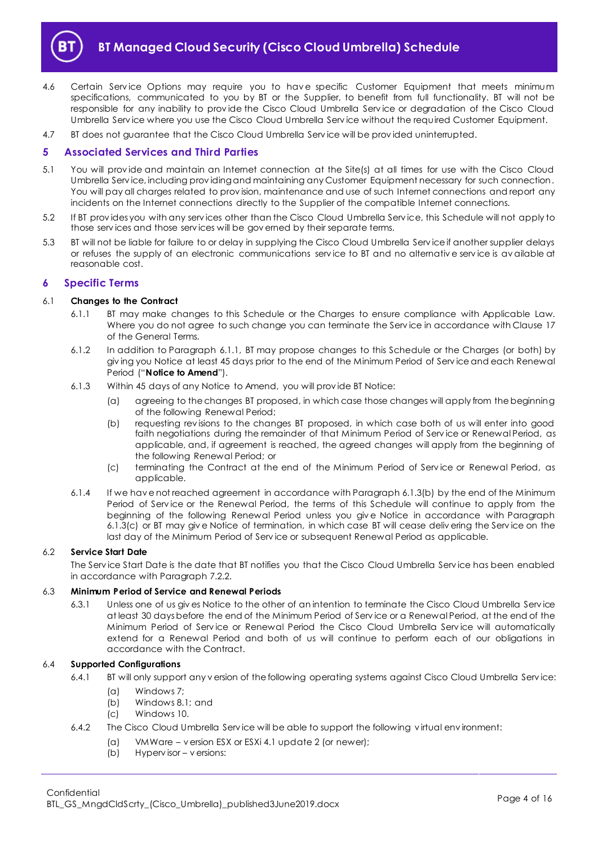

- 4.6 Certain Service Options may require you to have specific Customer Equipment that meets minimum specifications, communicated to you by BT or the Supplier, to benefit from full functionality. BT will not be responsible for any inability to prov ide the Cisco Cloud Umbrella Serv ice or degradation of the Cisco Cloud Umbrella Serv ice where you use the Cisco Cloud Umbrella Serv ice without the required Customer Equipment.
- 4.7 BT does not guarantee that the Cisco Cloud Umbrella Serv ice will be prov ided uninterrupted.

## <span id="page-3-0"></span>**5 Associated Services and Third Parties**

- 5.1 You will prov ide and maintain an Internet connection at the Site(s) at all times for use with the Cisco Cloud Umbrella Serv ice, including prov iding and maintaining any Customer Equipment necessary for such connection. You will pay all charges related to prov ision, maintenance and use of such Internet connections and report any incidents on the Internet connections directly to the Supplier of the compatible Internet connections.
- 5.2 If BT prov ides you with any serv ices other than the Cisco Cloud Umbrella Serv ice, this Schedule will not apply to those serv ices and those serv ices will be gov erned by their separate terms.
- 5.3 BT will not be liable for failure to or delay in supplying the Cisco Cloud Umbrella Serv ice if another supplier delays or refuses the supply of an electronic communications serv ice to BT and no alternativ e serv ice is av ailable at reasonable cost.

## <span id="page-3-1"></span>**6 Specific Terms**

#### <span id="page-3-2"></span>6.1 **Changes to the Contract**

- 6.1.1 BT may make changes to this Schedule or the Charges to ensure compliance with Applicable Law. Where you do not agree to such change you can terminate the Serv ice in accordance with Clause 17 of the General Terms.
- 6.1.2 In addition to Paragraph [6.1.1,](#page-3-2) BT may propose changes to this Schedule or the Charges (or both) by giv ing you Notice at least 45 days prior to the end of the Minimum Period of Serv ice and each Renewal Period ("**Notice to Amend**").
- <span id="page-3-3"></span>6.1.3 Within 45 days of any Notice to Amend, you will prov ide BT Notice:
	- (a) agreeing to the changes BT proposed, in which case those changes will apply from the beginning of the following Renewal Period;
	- (b) requesting rev isions to the changes BT proposed, in which case both of us will enter into good faith negotiations during the remainder of that Minimum Period of Serv ice or Renewal Period, as applicable, and, if agreement is reached, the agreed changes will apply from the beginning of the following Renewal Period; or
	- (c) terminating the Contract at the end of the Minimum Period of Serv ice or Renewal Period, as applicable.
- <span id="page-3-4"></span>6.1.4 If we hav e not reached agreement in accordance with Paragrap[h 6.1.3\(b\)](#page-3-3) by the end of the Minimum Period of Serv ice or the Renewal Period, the terms of this Schedule will continue to apply from the beginning of the following Renewal Period unless you giv e Notice in accordance with Paragraph [6.1.3\(c\)](#page-3-4) or BT may giv e Notice of termination, in which case BT will cease deliv ering the Serv ice on the last day of the Minimum Period of Serv ice or subsequent Renewal Period as applicable.

## 6.2 **Service Start Date**

The Serv ice Start Date is the date that BT notifies you that the Cisco Cloud Umbrella Serv ice has been enabled in accordance with Paragrap[h 7.2.2.](#page-7-2)

#### 6.3 **Minimum Period of Service and Renewal Periods**

6.3.1 Unless one of us giv es Notice to the other of an intention to terminate the Cisco Cloud Umbrella Serv ice at least 30 days before the end of the Minimum Period of Serv ice or a Renewal Period, at the end of the Minimum Period of Serv ice or Renewal Period the Cisco Cloud Umbrella Serv ice will automatically extend for a Renewal Period and both of us will continue to perform each of our obligations in accordance with the Contract.

#### 6.4 **Supported Configurations**

- 6.4.1 BT will only support any v ersion of the following operating systems against Cisco Cloud Umbrella Service:
	- (a) Windows 7;
	- (b) Windows 8.1; and
	- (c) Windows 10.
- 6.4.2 The Cisco Cloud Umbrella Serv ice will be able to support the following v irtual env ironment:
	- (a) VMWare v ersion ESX or ESXi 4.1 update 2 (or newer);
	- (b) Hyperv isor v ersions: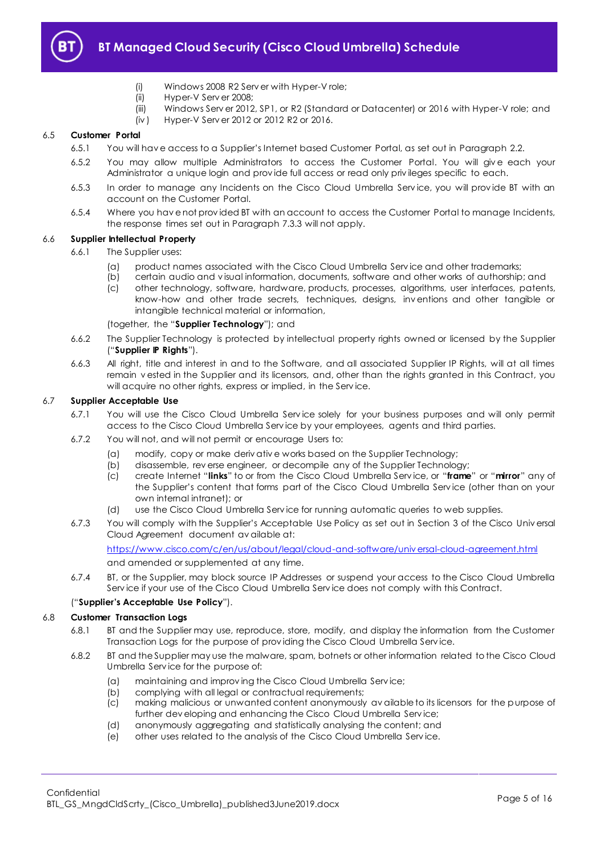

- (i) Windows 2008 R2 Serv er with Hyper-V role;
- (ii) Hyper-V Serv er 2008;
- (iii) Windows Serv er 2012, SP1, or R2 (Standard or Datacenter) or 2016 with Hyper-V role; and
- (iv ) Hyper-V Serv er 2012 or 2012 R2 or 2016.

## 6.5 **Customer Portal**

- 6.5.1 You will hav e access to a Supplier's Internet based Customer Portal, as set out in Paragraph [2.2.](#page-1-6)
- 6.5.2 You may allow multiple Administrators to access the Customer Portal. You will give each your Administrator a unique login and prov ide full access or read only priv ileges specific to each.
- 6.5.3 In order to manage any Incidents on the Cisco Cloud Umbrella Serv ice, you will prov ide BT with an account on the Customer Portal.
- 6.5.4 Where you hav e not prov ided BT with an account to access the Customer Portal to manage Incidents, the response times set out in Paragrap[h 7.3.3](#page-7-3) will not apply.

## <span id="page-4-1"></span>6.6 **Supplier Intellectual Property**

- 6.6.1 The Supplier uses:
	- (a) product names associated with the Cisco Cloud Umbrella Serv ice and other trademarks;
	- (b) certain audio and v isual information, documents, software and other works of authorship; and
	- (c) other technology, software, hardware, products, processes, algorithms, user interfaces, patents, know-how and other trade secrets, techniques, designs, inv entions and other tangible or intangible technical material or information,

(together, the "**Supplier Technology**"); and

- <span id="page-4-0"></span>6.6.2 The Supplier Technology is protected by intellectual property rights owned or licensed by the Supplier ("**Supplier IP Rights**").
- 6.6.3 All right, title and interest in and to the Software, and all associated Supplier IP Rights, will at all times remain v ested in the Supplier and its licensors, and, other than the rights granted in this Contract, you will acquire no other rights, express or implied, in the Service.

## 6.7 **Supplier Acceptable Use**

- 6.7.1 You will use the Cisco Cloud Umbrella Serv ice solely for your business purposes and will only permit access to the Cisco Cloud Umbrella Serv ice by your employees, agents and third parties.
- 6.7.2 You will not, and will not permit or encourage Users to:
	- (a) modify, copy or make deriv ativ e works based on the Supplier Technology;
	- (b) disassemble, rev erse engineer, or decompile any of the Supplier Technology;
	- (c) create Internet "**links**" to or from the Cisco Cloud Umbrella Serv ice, or "**frame**" or "**mirror**" any of the Supplier's content that forms part of the Cisco Cloud Umbrella Serv ice (other than on your own internal intranet); or
	- (d) use the Cisco Cloud Umbrella Serv ice for running automatic queries to web supplies.
- 6.7.3 You will comply with the Supplier's Acceptable Use Policy as set out in Section 3 of the Cisco Univ ersal Cloud Agreement document av ailable at: [https://www.cisco.com/c/en/us/about/legal/cloud-and-software/univ ersal-cloud-agreement.html](https://www.cisco.com/c/en/us/about/legal/cloud-and-software/universal-cloud-agreement.html)

and amended or supplemented at any time.

6.7.4 BT, or the Supplier, may block source IP Addresses or suspend your access to the Cisco Cloud Umbrella Serv ice if your use of the Cisco Cloud Umbrella Serv ice does not comply with this Contract.

## ("**Supplier's Acceptable Use Policy**").

## 6.8 **Customer Transaction Logs**

- 6.8.1 BT and the Supplier may use, reproduce, store, modify, and display the information from the Customer Transaction Logs for the purpose of prov iding the Cisco Cloud Umbrella Serv ice.
- 6.8.2 BT and the Supplier may use the malware, spam, botnets or other information related to the Cisco Cloud Umbrella Serv ice for the purpose of:
	- (a) maintaining and improv ing the Cisco Cloud Umbrella Serv ice;
	- (b) complying with all legal or contractual requirements;
	- (c) making malicious or unwanted content anonymously av ailable to its licensors for the purpose of further dev eloping and enhancing the Cisco Cloud Umbrella Serv ice;
	- (d) anonymously aggregating and statistically analysing the content; and
	- (e) other uses related to the analysis of the Cisco Cloud Umbrella Serv ice.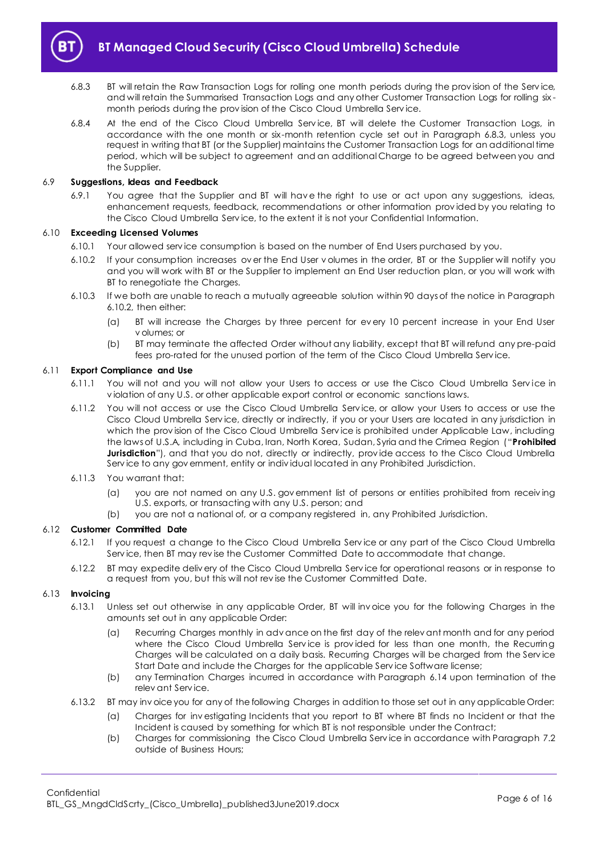

- <span id="page-5-0"></span>6.8.3 BT will retain the Raw Transaction Logs for rolling one month periods during the prov ision of the Serv ice, and will retain the Summarised Transaction Logs and any other Customer Transaction Logs for rolling six month periods during the prov ision of the Cisco Cloud Umbrella Serv ice.
- 6.8.4 At the end of the Cisco Cloud Umbrella Service, BT will delete the Customer Transaction Logs, in accordance with the one month or six-month retention cycle set out in Paragraph [6.8.3,](#page-5-0) unless you request in writing that BT (or the Supplier) maintains the Customer Transaction Logs for an additional time period, which will be subject to agreement and an additional Charge to be agreed between you and the Supplier.

## 6.9 **Suggestions, Ideas and Feedback**

6.9.1 You agree that the Supplier and BT will hav e the right to use or act upon any suggestions, ideas, enhancement requests, feedback, recommendations or other information prov ided by you relating to the Cisco Cloud Umbrella Serv ice, to the extent it is not your Confidential Information.

## <span id="page-5-1"></span>6.10 **Exceeding Licensed Volumes**

- 6.10.1 Your allowed serv ice consumption is based on the number of End Users purchased by you.
- 6.10.2 If your consumption increases ov er the End User v olumes in the order, BT or the Supplier will notify you and you will work with BT or the Supplier to implement an End User reduction plan, or you will work with BT to renegotiate the Charges.
- 6.10.3 If we both are unable to reach a mutually agreeable solution within 90 days of the notice in Paragraph [6.10.2,](#page-5-1) then either:
	- (a) BT will increase the Charges by three percent for ev ery 10 percent increase in your End User v olumes; or
	- (b) BT may terminate the affected Order without any liability, except that BT will refund any pre-paid fees pro-rated for the unused portion of the term of the Cisco Cloud Umbrella Serv ice.

#### 6.11 **Export Compliance and Use**

- 6.11.1 You will not and you will not allow your Users to access or use the Cisco Cloud Umbrella Service in v iolation of any U.S. or other applicable export control or economic sanctions laws.
- <span id="page-5-2"></span>6.11.2 You will not access or use the Cisco Cloud Umbrella Serv ice, or allow your Users to access or use the Cisco Cloud Umbrella Serv ice, directly or indirectly, if you or your Users are located in any jurisdiction in which the prov ision of the Cisco Cloud Umbrella Serv ice is prohibited under Applicable Law, including the laws of U.S.A, including in Cuba, Iran, North Korea, Sudan, Syria and the Crimea Region ("**Prohibited**  Jurisdiction"), and that you do not, directly or indirectly, provide access to the Cisco Cloud Umbrella Serv ice to any gov ernment, entity or indiv idual located in any Prohibited Jurisdiction.
- 6.11.3 You warrant that:
	- (a) you are not named on any U.S. gov ernment list of persons or entities prohibited from receiv ing U.S. exports, or transacting with any U.S. person; and
	- (b) you are not a national of, or a company registered in, any Prohibited Jurisdiction.

## 6.12 **Customer Committed Date**

- 6.12.1 If you request a change to the Cisco Cloud Umbrella Serv ice or any part of the Cisco Cloud Umbrella Serv ice, then BT may rev ise the Customer Committed Date to accommodate that change.
- 6.12.2 BT may expedite deliv ery of the Cisco Cloud Umbrella Serv ice for operational reasons or in response to a request from you, but this will not rev ise the Customer Committed Date.

#### 6.13 **Invoicing**

- 6.13.1 Unless set out otherwise in any applicable Order, BT will inv oice you for the following Charges in the amounts set out in any applicable Order:
	- (a) Recurring Charges monthly in adv ance on the first day of the relev ant month and for any period where the Cisco Cloud Umbrella Service is provided for less than one month, the Recurring Charges will be calculated on a daily basis. Recurring Charges will be charged from the Serv ice Start Date and include the Charges for the applicable Serv ice Software license;
	- (b) any Termination Charges incurred in accordance with Paragraph [6.14](#page-6-0) upon termination of the relev ant Serv ice.
- 6.13.2 BT may inv oice you for any of the following Charges in addition to those set out in any applicable Order:
	- (a) Charges for inv estigating Incidents that you report to BT where BT finds no Incident or that the Incident is caused by something for which BT is not responsible under the Contract;
	- (b) Charges for commissioning the Cisco Cloud Umbrella Serv ice in accordance with Paragraph [7.2](#page-7-4) outside of Business Hours;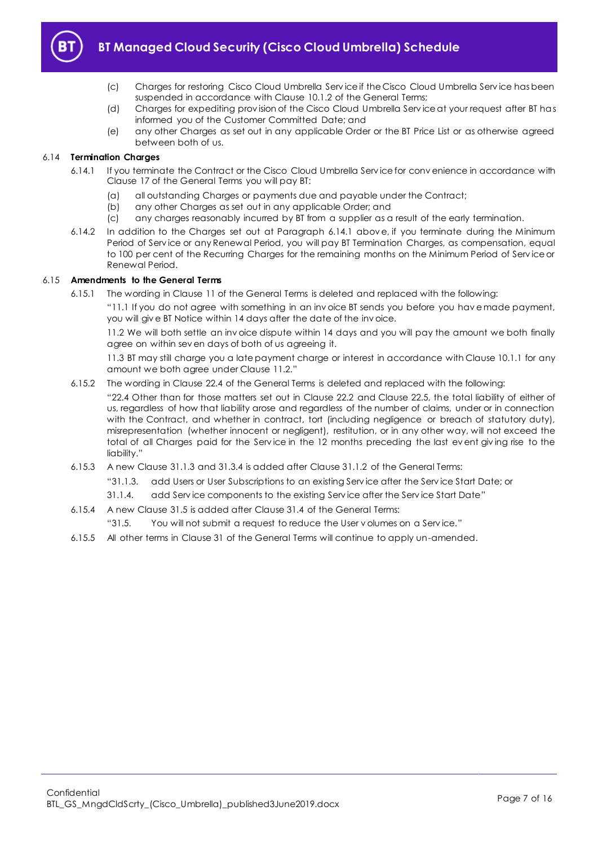

- (c) Charges for restoring Cisco Cloud Umbrella Serv ice if the Cisco Cloud Umbrella Serv ice has been suspended in accordance with Clause 10.1.2 of the General Terms;
- (d) Charges for expediting prov ision of the Cisco Cloud Umbrella Serv ice at your request after BT has informed you of the Customer Committed Date; and
- (e) any other Charges as set out in any applicable Order or the BT Price List or as otherwise agreed between both of us.

## <span id="page-6-1"></span><span id="page-6-0"></span>6.14 **Termination Charges**

- 6.14.1 If you terminate the Contract or the Cisco Cloud Umbrella Serv ice for conv enience in accordance with Clause 17 of the General Terms you will pay BT:
	- (a) all outstanding Charges or payments due and payable under the Contract;
	- (b) any other Charges as set out in any applicable Order; and
	- (c) any charges reasonably incurred by BT from a supplier as a result of the early termination.
- 6.14.2 In addition to the Charges set out at Paragraph [6.14.1](#page-6-1) abov e, if you terminate during the Minimum Period of Serv ice or any Renewal Period, you will pay BT Termination Charges, as compensation, equal to 100 per cent of the Recurring Charges for the remaining months on the Minimum Period of Serv ice or Renewal Period.

## 6.15 **Amendments to the General Terms**

6.15.1 The wording in Clause 11 of the General Terms is deleted and replaced with the following:

"11.1 If you do not agree with something in an inv oice BT sends you before you hav e made payment, you will giv e BT Notice within 14 days after the date of the inv oice.

11.2 We will both settle an inv oice dispute within 14 days and you will pay the amount we both finally agree on within sev en days of both of us agreeing it.

11.3 BT may still charge you a late payment charge or interest in accordance with Clause 10.1.1 for any amount we both agree under Clause 11.2."

6.15.2 The wording in Clause 22.4 of the General Terms is deleted and replaced with the following:

"22.4 Other than for those matters set out in Clause 22.2 and Clause 22.5, the total liability of either of us, regardless of how that liability arose and regardless of the number of claims, under or in connection with the Contract, and whether in contract, tort (including negligence or breach of statutory duty), misrepresentation (whether innocent or negligent), restitution, or in any other way, will not exceed the total of all Charges paid for the Serv ice in the 12 months preceding the last ev ent giv ing rise to the liability."

- 6.15.3 A new Clause 31.1.3 and 31.3.4 is added after Clause 31.1.2 of the General Terms:
	- "31.1.3. add Users or User Subscriptions to an existing Serv ice after the Serv ice Start Date; or
	- 31.1.4. add Serv ice components to the existing Serv ice after the Serv ice Start Date"
- 6.15.4 A new Clause 31.5 is added after Clause 31.4 of the General Terms:
	- "31.5. You will not submit a request to reduce the User v olumes on a Serv ice."
- 6.15.5 All other terms in Clause 31 of the General Terms will continue to apply un-amended.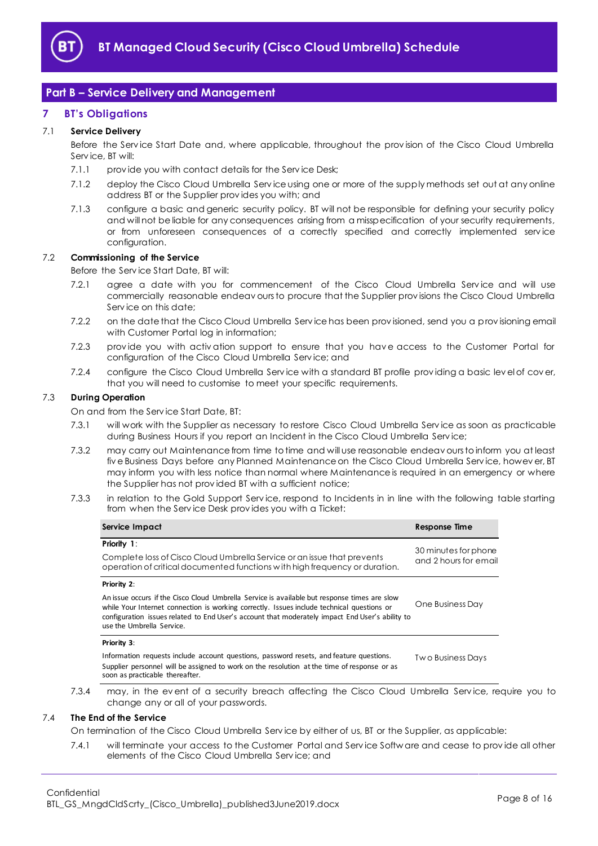

## <span id="page-7-0"></span>**Part B – Service Delivery and Management**

## <span id="page-7-1"></span>**7 BT's Obligations**

## 7.1 **Service Delivery**

Before the Serv ice Start Date and, where applicable, throughout the prov ision of the Cisco Cloud Umbrella Serv ice, BT will:

- 7.1.1 provide you with contact details for the Service Desk;
- 7.1.2 deploy the Cisco Cloud Umbrella Serv ice using one or more of the supply methods set out at any online address BT or the Supplier prov ides you with; and
- 7.1.3 configure a basic and generic security policy. BT will not be responsible for defining your security policy and will not be liable for any consequences arising from a misspecification of your security requirements, or from unforeseen consequences of a correctly specified and correctly implemented serv ice configuration.

## <span id="page-7-4"></span>7.2 **Commissioning of the Service**

Before the Serv ice Start Date, BT will:

- 7.2.1 agree a date with you for commencement of the Cisco Cloud Umbrella Service and will use commercially reasonable endeav ours to procure that the Supplier prov isions the Cisco Cloud Umbrella Serv ice on this date;
- <span id="page-7-2"></span>7.2.2 on the date that the Cisco Cloud Umbrella Serv ice has been prov isioned, send you a prov isioning email with Customer Portal log in information;
- 7.2.3 provide you with activation support to ensure that you have access to the Customer Portal for configuration of the Cisco Cloud Umbrella Serv ice; and
- 7.2.4 configure the Cisco Cloud Umbrella Service with a standard BT profile providing a basic level of cover, that you will need to customise to meet your specific requirements.

## <span id="page-7-5"></span>7.3 **During Operation**

On and from the Serv ice Start Date, BT:

- 7.3.1 will work with the Supplier as necessary to restore Cisco Cloud Umbrella Serv ice as soon as practicable during Business Hours if you report an Incident in the Cisco Cloud Umbrella Serv ice;
- 7.3.2 may carry out Maintenance from time to time and will use reasonable endeav ours to inform you at least fiv e Business Days before any Planned Maintenance on the Cisco Cloud Umbrella Serv ice, howev er, BT may inform you with less notice than normal where Maintenance is required in an emergency or where the Supplier has not prov ided BT with a sufficient notice;
- <span id="page-7-3"></span>7.3.3 in relation to the Gold Support Serv ice, respond to Incidents in in line with the following table starting from when the Serv ice Desk prov ides you with a Ticket:

| Service Impact                                                                                                                                                                                                                                                                                                             | Response Time                                 |
|----------------------------------------------------------------------------------------------------------------------------------------------------------------------------------------------------------------------------------------------------------------------------------------------------------------------------|-----------------------------------------------|
| <b>Priority 1:</b>                                                                                                                                                                                                                                                                                                         |                                               |
| Complete loss of Cisco Cloud Umbrella Service or an issue that prevents<br>operation of critical documented functions with high frequency or duration.                                                                                                                                                                     | 30 minutes for phone<br>and 2 hours for email |
| Priority 2:                                                                                                                                                                                                                                                                                                                |                                               |
| An issue occurs if the Cisco Cloud Umbrella Service is available but response times are slow<br>while Your Internet connection is working correctly. Issues include technical questions or<br>configuration issues related to End User's account that moderately impact End User's ability to<br>use the Umbrella Service. | One Business Day                              |
| Priority 3:                                                                                                                                                                                                                                                                                                                |                                               |
| Information requests include account questions, password resets, and feature questions.<br>Supplier personnel will be assigned to work on the resolution at the time of response or as<br>soon as practicable thereafter.                                                                                                  | Two Business Days                             |
| may, in the event of a security breach affecting the Cisco Cloud Umbrella Service, require you to<br>change any or all of your passwords.                                                                                                                                                                                  |                                               |

## 7.4 **The End of the Service**

On termination of the Cisco Cloud Umbrella Serv ice by either of us, BT or the Supplier, as applicable:

7.4.1 will terminate your access to the Customer Portal and Serv ice Softw are and cease to prov ide all other elements of the Cisco Cloud Umbrella Serv ice; and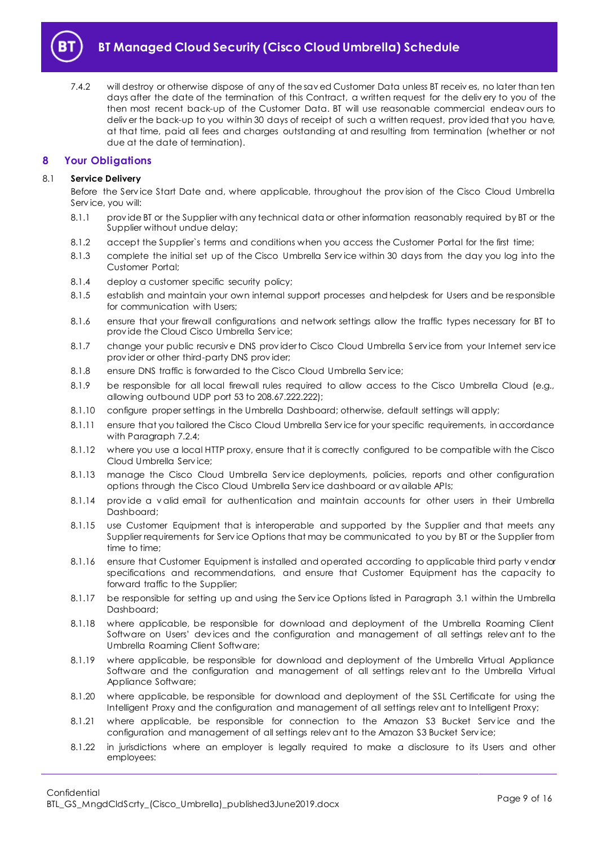

<span id="page-8-2"></span>7.4.2 will destroy or otherwise dispose of any of the sav ed Customer Data unless BT receiv es, no later than ten days after the date of the termination of this Contract, a written request for the deliv ery to you of the then most recent back-up of the Customer Data. BT will use reasonable commercial endeav ours to deliv er the back-up to you within 30 days of receipt of such a written request, prov ided that you have, at that time, paid all fees and charges outstanding at and resulting from termination (whether or not due at the date of termination).

## <span id="page-8-0"></span>**8 Your Obligations**

## 8.1 **Service Delivery**

Before the Service Start Date and, where applicable, throughout the provision of the Cisco Cloud Umbrella Serv ice, you will:

- 8.1.1 prov ide BT or the Supplier with any technical data or other information reasonably required by BT or the Supplier without undue delay;
- 8.1.2 accept the Supplier`s terms and conditions when you access the Customer Portal for the first time;
- 8.1.3 complete the initial set up of the Cisco Umbrella Serv ice within 30 days from the day you log into the Customer Portal;
- 8.1.4 deploy a customer specific security policy;
- 8.1.5 establish and maintain your own internal support processes and helpdesk for Users and be responsible for communication with Users;
- 8.1.6 ensure that your firewall configurations and network settings allow the traffic types necessary for BT to prov ide the Cloud Cisco Umbrella Serv ice;
- 8.1.7 change your public recursive DNS provider to Cisco Cloud Umbrella Service from your Internet service prov ider or other third-party DNS prov ider;
- 8.1.8 ensure DNS traffic is forwarded to the Cisco Cloud Umbrella Service;
- 8.1.9 be responsible for all local firewall rules required to allow access to the Cisco Umbrella Cloud (e.g., allowing outbound UDP port 53 to 208.67.222.222);
- 8.1.10 configure proper settings in the Umbrella Dashboard; otherwise, default settings will apply;
- 8.1.11 ensure that you tailored the Cisco Cloud Umbrella Serv ice for your specific requirements, in accordance with Paragraph [7.2.4;](#page-7-5)
- 8.1.12 where you use a local HTTP proxy, ensure that it is correctly configured to be compatible with the Cisco Cloud Umbrella Serv ice;
- 8.1.13 manage the Cisco Cloud Umbrella Serv ice deployments, policies, reports and other configuration options through the Cisco Cloud Umbrella Serv ice dashboard or av ailable APIs;
- 8.1.14 prov ide a v alid email for authentication and maintain accounts for other users in their Umbrella Dashboard;
- 8.1.15 use Customer Equipment that is interoperable and supported by the Supplier and that meets any Supplier requirements for Serv ice Options that may be communicated to you by BT or the Supplier from time to time;
- 8.1.16 ensure that Customer Equipment is installed and operated according to applicable third party v endor specifications and recommendations, and ensure that Customer Equipment has the capacity to forward traffic to the Supplier;
- 8.1.17 be responsible for setting up and using the Serv ice Options listed in Paragraph [3.1](#page-2-1) within the Umbrella Dashboard;
- 8.1.18 where applicable, be responsible for download and deployment of the Umbrella Roaming Client Software on Users' dev ices and the configuration and management of all settings relev ant to the Umbrella Roaming Client Software;
- 8.1.19 where applicable, be responsible for download and deployment of the Umbrella Virtual Appliance Software and the configuration and management of all settings relev ant to the Umbrella Virtual Appliance Software;
- 8.1.20 where applicable, be responsible for download and deployment of the SSL Certificate for using the Intelligent Proxy and the configuration and management of all settings relev ant to Intelligent Proxy;
- 8.1.21 where applicable, be responsible for connection to the Amazon S3 Bucket Service and the configuration and management of all settings relev ant to the Amazon S3 Bucket Serv ice;
- <span id="page-8-1"></span>8.1.22 in jurisdictions where an employer is legally required to make a disclosure to its Users and other employees: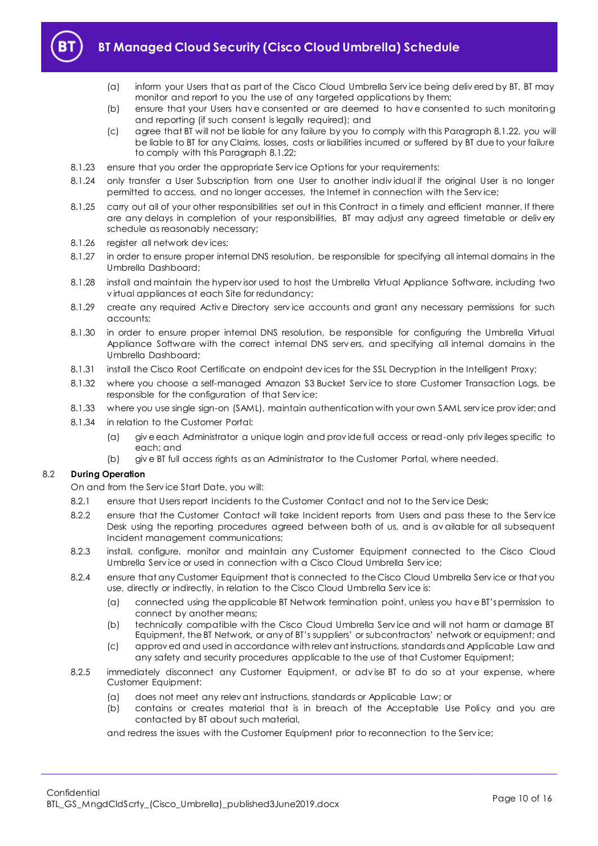

- (a) inform your Users that as part of the Cisco Cloud Umbrella Serv ice being deliv ered by BT, BT may monitor and report to you the use of any targeted applications by them;
- (b) ensure that your Users hav e consented or are deemed to hav e consented to such monitoring and reporting (if such consent is legally required); and
- (c) agree that BT will not be liable for any failure by you to comply with this Paragrap[h 8.1.22,](#page-8-1) you will be liable to BT for any Claims, losses, costs or liabilities incurred or suffered by BT due to your failure to comply with this Paragrap[h 8.1.22;](#page-8-1)
- 8.1.23 ensure that you order the appropriate Service Options for your requirements;
- 8.1.24 only transfer a User Subscription from one User to another indiv idual if the original User is no longer permitted to access, and no longer accesses, the Internet in connection with the Serv ice;
- 8.1.25 carry out all of your other responsibilities set out in this Contract in a timely and efficient manner. If there are any delays in completion of your responsibilities, BT may adjust any agreed timetable or deliv ery schedule as reasonably necessary;
- 8.1.26 register all network dev ices;
- 8.1.27 in order to ensure proper internal DNS resolution, be responsible for specifying all internal domains in the Umbrella Dashboard;
- 8.1.28 install and maintain the hyperv isor used to host the Umbrella Virtual Appliance Software, including two v irtual appliances at each Site for redundancy;
- 8.1.29 create any required Active Directory service accounts and grant any necessary permissions for such accounts;
- 8.1.30 in order to ensure proper internal DNS resolution, be responsible for configuring the Umbrella Virtual Appliance Software with the correct internal DNS serv ers, and specifying all internal domains in the Umbrella Dashboard;
- 8.1.31 install the Cisco Root Certificate on endpoint dev ices for the SSL Decryption in the Intelligent Proxy;
- 8.1.32 where you choose a self-managed Amazon S3 Bucket Serv ice to store Customer Transaction Logs, be responsible for the configuration of that Serv ice;
- 8.1.33 where you use single sign-on (SAML), maintain authentication with your own SAML serv ice prov ider; and
- 8.1.34 in relation to the Customer Portal:
	- (a) giv e each Administrator a unique login and prov ide full access or read-only priv ileges specific to each; and
	- (b) giv e BT full access rights as an Administrator to the Customer Portal, where needed.

## 8.2 **During Operation**

On and from the Serv ice Start Date, you will:

- 8.2.1 ensure that Users report Incidents to the Customer Contact and not to the Serv ice Desk;
- 8.2.2 ensure that the Customer Contact will take Incident reports from Users and pass these to the Service Desk using the reporting procedures agreed between both of us, and is av ailable for all subsequent Incident management communications;
- 8.2.3 install, configure, monitor and maintain any Customer Equipment connected to the Cisco Cloud Umbrella Serv ice or used in connection with a Cisco Cloud Umbrella Serv ice;
- 8.2.4 ensure that any Customer Equipment that is connected to the Cisco Cloud Umbrella Service or that you use, directly or indirectly, in relation to the Cisco Cloud Umbrella Serv ice is:
	- (a) connected using the applicable BT Network termination point, unless you hav e BT's permission to connect by another means;
	- (b) technically compatible with the Cisco Cloud Umbrella Serv ice and will not harm or damage BT Equipment, the BT Network, or any of BT's suppliers' or subcontractors' network or equipment; and
	- (c) approv ed and used in accordance with relev ant instructions, standards and Applicable Law and any safety and security procedures applicable to the use of that Customer Equipment;
- 8.2.5 immediately disconnect any Customer Equipment, or adv ise BT to do so at your expense, where Customer Equipment:
	- (a) does not meet any relev ant instructions, standards or Applicable Law; or
	- (b) contains or creates material that is in breach of the Acceptable Use Policy and you are contacted by BT about such material,

and redress the issues with the Customer Equipment prior to reconnection to the Serv ice;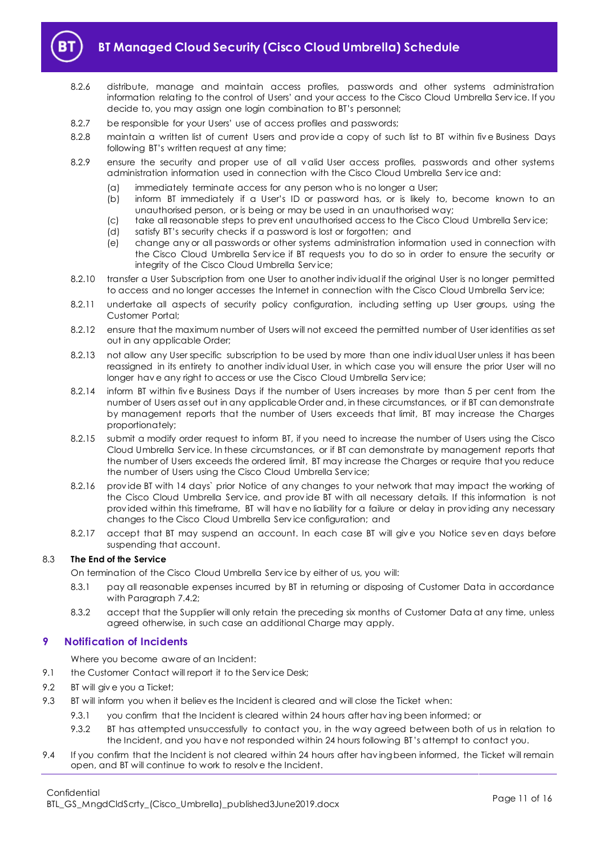

- 8.2.6 distribute, manage and maintain access profiles, passwords and other systems administration information relating to the control of Users' and your access to the Cisco Cloud Umbrella Serv ice. If you decide to, you may assign one login combination to BT's personnel;
- 8.2.7 be responsible for your Users' use of access profiles and passwords;
- 8.2.8 maintain a written list of current Users and prov ide a copy of such list to BT within fiv e Business Days following BT's written request at any time;
- 8.2.9 ensure the security and proper use of all v alid User access profiles, passwords and other systems administration information used in connection with the Cisco Cloud Umbrella Serv ice and:
	- (a) immediately terminate access for any person who is no longer a User;
	- (b) inform BT immediately if a User's ID or password has, or is likely to, become known to an unauthorised person, or is being or may be used in an unauthorised way;
	- (c) take all reasonable steps to prev ent unauthorised access to the Cisco Cloud Umbrella Serv ice;
	- (d) satisfy BT's security checks if a password is lost or forgotten; and
	- (e) change any or all passwords or other systems administration information used in connection with the Cisco Cloud Umbrella Serv ice if BT requests you to do so in order to ensure the security or integrity of the Cisco Cloud Umbrella Serv ice;
- 8.2.10 transfer a User Subscription from one User to another individual if the original User is no longer permitted to access and no longer accesses the Internet in connection with the Cisco Cloud Umbrella Service;
- 8.2.11 undertake all aspects of security policy configuration, including setting up User groups, using the Customer Portal;
- 8.2.12 ensure that the maximum number of Users will not exceed the permitted number of User identities as set out in any applicable Order;
- 8.2.13 not allow any User specific subscription to be used by more than one indiv idual User unless it has been reassigned in its entirety to another indiv idual User, in which case you will ensure the prior User will no longer hav e any right to access or use the Cisco Cloud Umbrella Serv ice;
- 8.2.14 inform BT within fiv e Business Days if the number of Users increases by more than 5 per cent from the number of Users as set out in any applicable Order and, in these circumstances, or if BT can demonstrate by management reports that the number of Users exceeds that limit, BT may increase the Charges proportionately;
- 8.2.15 submit a modify order request to inform BT, if you need to increase the number of Users using the Cisco Cloud Umbrella Serv ice. In these circumstances, or if BT can demonstrate by management reports that the number of Users exceeds the ordered limit, BT may increase the Charges or require that you reduce the number of Users using the Cisco Cloud Umbrella Serv ice;
- 8.2.16 prov ide BT with 14 days` prior Notice of any changes to your network that may impact the working of the Cisco Cloud Umbrella Serv ice, and prov ide BT with all necessary details. If this information is not prov ided within this timeframe, BT will hav e no liability for a failure or delay in prov iding any necessary changes to the Cisco Cloud Umbrella Serv ice configuration; and
- 8.2.17 accept that BT may suspend an account. In each case BT will give you Notice seven days before suspending that account.

## 8.3 **The End of the Service**

On termination of the Cisco Cloud Umbrella Serv ice by either of us, you will:

- 8.3.1 pay all reasonable expenses incurred by BT in returning or disposing of Customer Data in accordance with Paragrap[h 7.4.2;](#page-8-2)
- 8.3.2 accept that the Supplier will only retain the preceding six months of Customer Data at any time, unless agreed otherwise, in such case an additional Charge may apply.

## <span id="page-10-0"></span>**9 Notification of Incidents**

Where you become aware of an Incident:

- 9.1 the Customer Contact will report it to the Service Desk;
- <span id="page-10-1"></span>9.2 BT will give you a Ticket;
- <span id="page-10-2"></span>9.3 BT will inform you when it believ es the Incident is cleared and will close the Ticket when:
	- 9.3.1 you confirm that the Incident is cleared within 24 hours after hav ing been informed; or
	- 9.3.2 BT has attempted unsuccessfully to contact you, in the way agreed between both of us in relation to the Incident, and you hav e not responded within 24 hours following BT 's attempt to contact you.
- <span id="page-10-3"></span>9.4 If you confirm that the Incident is not cleared within 24 hours after having been informed, the Ticket will remain open, and BT will continue to work to resolv e the Incident.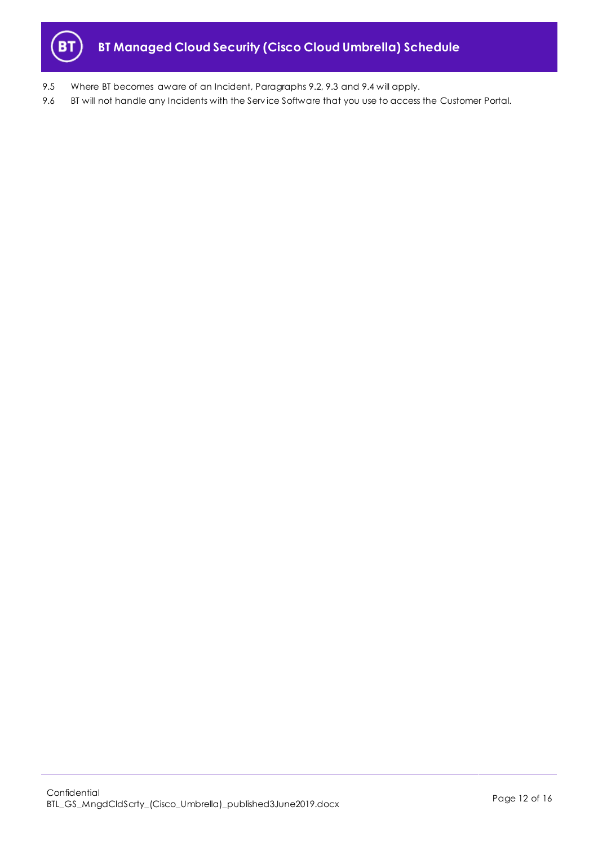

- 9.5 Where BT becomes aware of an Incident, Paragraphs [9.2,](#page-10-1) [9.3](#page-10-2) and [9.4](#page-10-3) will apply.
- 9.6 BT will not handle any Incidents with the Service Software that you use to access the Customer Portal.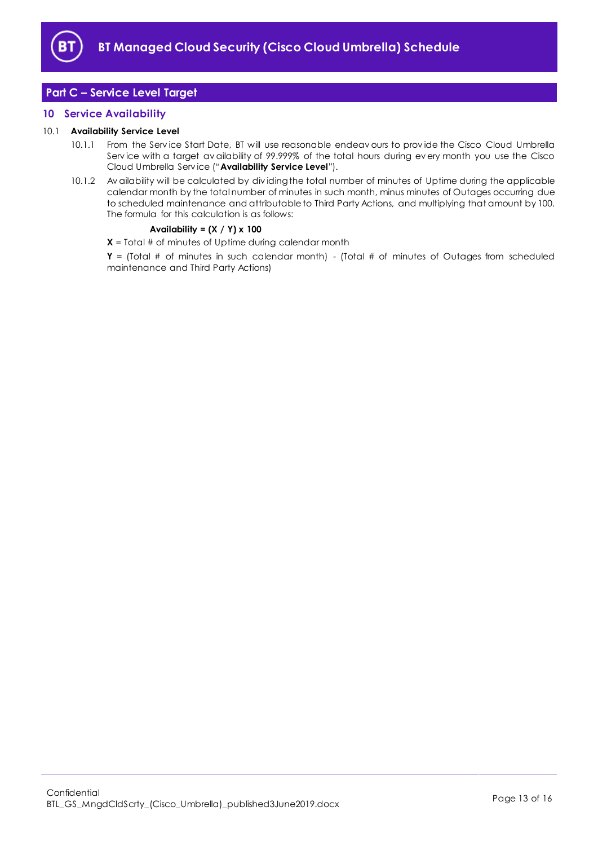

## <span id="page-12-0"></span>**Part C – Service Level Target**

## <span id="page-12-1"></span>**10 Service Availability**

## <span id="page-12-2"></span>10.1 **Availability Service Level**

- 10.1.1 From the Serv ice Start Date, BT will use reasonable endeav ours to prov ide the Cisco Cloud Umbrella Serv ice with a target av ailability of 99.999% of the total hours during ev ery month you use the Cisco Cloud Umbrella Serv ice ("**Availability Service Level**").
- 10.1.2 Av ailability will be calculated by div iding the total number of minutes of Uptime during the applicable calendar month by the total number of minutes in such month, minus minutes of Outages occurring due to scheduled maintenance and attributable to Third Party Actions, and multiplying that amount by 100. The formula for this calculation is as follows:

## **Availability = (X / Y) x 100**

**X** = Total # of minutes of Uptime during calendar month

**Y** = (Total # of minutes in such calendar month) - (Total # of minutes of Outages from scheduled maintenance and Third Party Actions)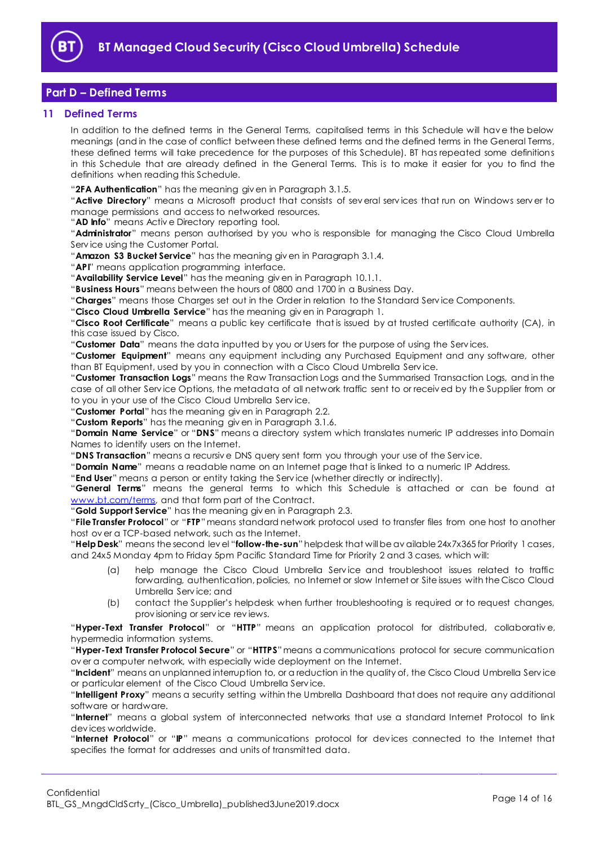

## <span id="page-13-0"></span>**Part D – Defined Terms**

## <span id="page-13-1"></span>**11 Defined Terms**

In addition to the defined terms in the General Terms, capitalised terms in this Schedule will hav e the below meanings (and in the case of conflict between these defined terms and the defined terms in the General Terms, these defined terms will take precedence for the purposes of this Schedule). BT has repeated some definitions in this Schedule that are already defined in the General Terms. This is to make it easier for you to find the definitions when reading this Schedule.

"**2FA Authentication**" has the meaning giv en in Paragraph [3.1.5.](#page-2-2)

"**Active Directory**" means a Microsoft product that consists of sev eral serv ices that run on Windows serv er to manage permissions and access to networked resources.

"**AD Info**" means Activ e Directory reporting tool.

"**Administrator**" means person authorised by you who is responsible for managing the Cisco Cloud Umbrella Serv ice using the Customer Portal.

"**Amazon S3 Bucket Service**" has the meaning giv en in Paragraph [3.1.4.](#page-2-3)

"**API**" means application programming interface.

"**Availability Service Level**" has the meaning giv en in Paragrap[h 10.1.1.](#page-12-2) 

"**Business Hours**" means between the hours of 0800 and 1700 in a Business Day.

"**Charges**" means those Charges set out in the Order in relation to the Standard Serv ice Components.

"**Cisco Cloud Umbrella Service**" has the meaning giv en in Paragraph [1.](#page-1-3)

"**Cisco Root Certificate**" means a public key certificate that is issued by at trusted certificate authority (CA), in this case issued by Cisco.

"**Customer Data**" means the data inputted by you or Users for the purpose of using the Serv ices.

"**Customer Equipment**" means any equipment including any Purchased Equipment and any software, other than BT Equipment, used by you in connection with a Cisco Cloud Umbrella Serv ice.

"**Customer Transaction Logs**" means the Raw Transaction Logs and the Summarised Transaction Logs, and in the case of all other Serv ice Options, the metadata of all network traffic sent to or receiv ed by the Supplier from or to you in your use of the Cisco Cloud Umbrella Serv ice.

"**Customer Portal**" has the meaning giv en in Paragraph [2.2.](#page-1-6)

"**Custom Reports**" has the meaning giv en in Paragrap[h 3.1.6.](#page-2-4) 

"**Domain Name Service**" or "**DNS**" means a directory system which translates numeric IP addresses into Domain Names to identify users on the Internet.

"**DNS Transaction**" means a recursiv e DNS query sent form you through your use of the Serv ice.

"**Domain Name**" means a readable name on an Internet page that is linked to a numeric IP Address.

"**End User**" means a person or entity taking the Serv ice (whether directly or indirectly).

"**General Terms**" means the general terms to which this Schedule is attached or can be found at [www.bt.com/terms,](http://www.bt.com/terms) and that form part of the Contract.

"**Gold Support Service**" has the meaning giv en in Paragraph [2.3.](#page-1-7)

"**File Transfer Protocol**" or "**FTP**"means standard network protocol used to transfer files from one host to another host ov er a TCP-based network, such as the Internet.

"**Help Desk**" means the second lev el "**follow-the-sun**"helpdesk that will be av ailable 24x7x365 for Priority 1 cases, and 24x5 Monday 4pm to Friday 5pm Pacific Standard Time for Priority 2 and 3 cases, which will:

- (a) help manage the Cisco Cloud Umbrella Serv ice and troubleshoot issues related to traffic forwarding, authentication, policies, no Internet or slow Internet or Site issues with the Cisco Cloud Umbrella Serv ice; and
- (b) contact the Supplier's helpdesk when further troubleshooting is required or to request changes, prov isioning or serv ice rev iews.

"**Hyper-Text Transfer Protocol**" or "**HTTP**" means an application protocol for distributed, collaborativ e, hypermedia information systems.

"**Hyper-Text Transfer Protocol Secure**" or "**HTTPS**"means a communications protocol for secure communication ov er a computer network, with especially wide deployment on the Internet.

"**Incident**" means an unplanned interruption to, or a reduction in the quality of, the Cisco Cloud Umbrella Serv ice or particular element of the Cisco Cloud Umbrella Serv ice.

"**Intelligent Proxy**" means a security setting within the Umbrella Dashboard that does not require any additional software or hardware.

"**Internet**" means a global system of interconnected networks that use a standard Internet Protocol to link dev ices worldwide.

"**Internet Protocol**" or "**IP**" means a communications protocol for dev ices connected to the Internet that specifies the format for addresses and units of transmitted data.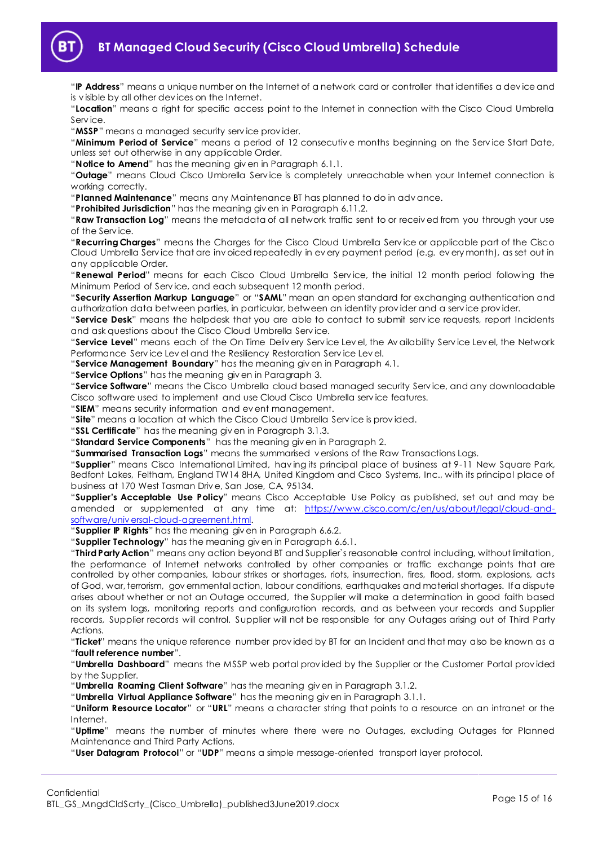

"**IP Address**" means a unique number on the Internet of a network card or controller that identifies a dev ice and is v isible by all other dev ices on the Internet.

"**Location**" means a right for specific access point to the Internet in connection with the Cisco Cloud Umbrella Serv ice.

"**MSSP**" means a managed security serv ice prov ider.

"**Minimum Period of Service**" means a period of 12 consecutiv e months beginning on the Serv ice Start Date, unless set out otherwise in any applicable Order.

"**Notice to Amend**" has the meaning giv en in Paragraph [6.1.1.](#page-3-2)

"**Outage**" means Cloud Cisco Umbrella Serv ice is completely unreachable when your Internet connection is working correctly.

"**Planned Maintenance**" means any Maintenance BT has planned to do in adv ance.

"**Prohibited Jurisdiction**" has the meaning giv en in Paragraph [6.11.2.](#page-5-2)

"**Raw Transaction Log**" means the metadata of all network traffic sent to or receiv ed from you through your use of the Serv ice.

"**Recurring Charges**" means the Charges for the Cisco Cloud Umbrella Serv ice or applicable part of the Cisco Cloud Umbrella Serv ice that are inv oiced repeatedly in ev ery payment period (e.g. ev ery month), as set out in any applicable Order.

"**Renewal Period**" means for each Cisco Cloud Umbrella Serv ice, the initial 12 month period following the Minimum Period of Serv ice, and each subsequent 12 month period.

"**Security Assertion Markup Language**" or "**SAML**" mean an open standard for exchanging authentication and authorization data between parties, in particular, between an identity prov ider and a serv ice prov ider.

"**Service Desk**" means the helpdesk that you are able to contact to submit serv ice requests, report Incidents and ask questions about the Cisco Cloud Umbrella Serv ice.

"**Service Level**" means each of the On Time Deliv ery Serv ice Lev el, the Av ailability Serv ice Lev el, the Network Performance Serv ice Lev el and the Resiliency Restoration Serv ice Lev el.

"**Service Management Boundary**" has the meaning giv en in Paragraph [4.1.](#page-2-5)

"**Service Options**" has the meaning giv en in Paragrap[h 3.](#page-1-5)

"**Service Software**" means the Cisco Umbrella cloud based managed security Serv ice, and any downloadable Cisco software used to implement and use Cloud Cisco Umbrella serv ice features.

"**SIEM**" means security information and ev ent management.

"**Site**" means a location at which the Cisco Cloud Umbrella Serv ice is prov ided.

"**SSL Certificate**" has the meaning giv en in Paragraph [3.1.3.](#page-2-6) 

"**Standard Service Components**" has the meaning giv en in Paragraph [2.](#page-1-4)

"**Summarised Transaction Logs**" means the summarised v ersions of the Raw Transactions Logs.

"**Supplier**" means Cisco International Limited, hav ing its principal place of business at 9-11 New Square Park, Bedfont Lakes, Feltham, England TW14 8HA, United Kingdom and Cisco Systems, Inc., with its principal place of business at 170 West Tasman Driv e, San Jose, CA, 95134.

"**Supplier's Acceptable Use Policy**" means Cisco Acceptable Use Policy as published, set out and may be amended or supplemented at any time at: [https://www.cisco.com/c/en/us/about/legal/cloud-and](https://www.cisco.com/c/en/us/about/legal/cloud-and-software/universal-cloud-agreement.html)software/universal-cloud-agreement.html.

"**Supplier IP Rights**" has the meaning giv en in Paragraph [6.6.2.](#page-4-0)

"**Supplier Technology**" has the meaning giv en in Paragrap[h 6.6.1.](#page-4-1)

"**Third Party Action**" means any action beyond BT and Supplier`s reasonable control including, without limitation, the performance of Internet networks controlled by other companies or traffic exchange points that are controlled by other companies, labour strikes or shortages, riots, insurrection, fires, flood, storm, explosions, acts of God, war, terrorism, gov ernmental action, labour conditions, earthquakes and material shortages. If a dispute arises about whether or not an Outage occurred, the Supplier will make a determination in good faith based on its system logs, monitoring reports and configuration records, and as between your records and Supplier records, Supplier records will control. Supplier will not be responsible for any Outages arising out of Third Party Actions.

"**Ticket**" means the unique reference number prov ided by BT for an Incident and that may also be known as a "**fault reference number**".

"**Umbrella Dashboard**" means the MSSP web portal prov ided by the Supplier or the Customer Portal prov ided by the Supplier.

"**Umbrella Roaming Client Software**" has the meaning giv en in Paragrap[h 3.1.2.](#page-2-7) 

"**Umbrella Virtual Appliance Software**" has the meaning giv en in Paragrap[h 3.1.1.](#page-2-8) 

"**Uniform Resource Locator**" or "**URL**" means a character string that points to a resource on an intranet or the Internet.

"**Uptime**" means the number of minutes where there were no Outages, excluding Outages for Planned Maintenance and Third Party Actions.

"**User Datagram Protocol**" or "**UDP**" means a simple message-oriented transport layer protocol.